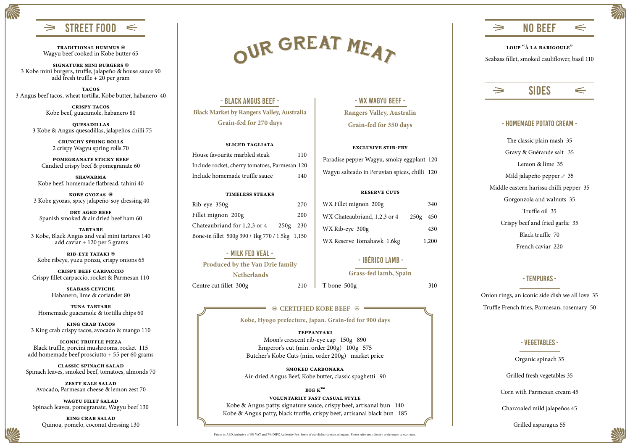NO BEEF  $\Rightarrow$  $\Leftarrow$ 

**Kobe, Hyogo prefecture, Japan. Grain-fed for 900 days**

**signature mini burgers**  3 Kobe mini burgers, truffle, jalapeño & house sauce 90 add fresh truffle +  $20$  per gram

### SIDES

 $\Leftarrow$ 

#### STREET FOOD  $\Rightarrow$  $\Leftarrow$

**traditional hummus**  Wagyu beef cooked in Kobe butter 65

**tacos** 3 Angus beef tacos, wheat tortilla, Kobe butter, habanero 40

> **crispy tacos** Kobe beef, guacamole, habanero 80

**quesadillas** 3 Kobe & Angus quesadillas, jalapeños chilli 75

> **crunchy spring rolls** 2 crispy Wagyu spring rolls 70

**pomegranate sticky beef**  Candied crispy beef & pomegranate 60

**shawarma** Kobe beef, homemade flatbread, tahini 40

**kobe gyozas**  3 Kobe gyozas, spicy jalapeño-soy dressing 40

**dry aged beef** Spanish smoked & air dried beef ham 60

**tartare** 3 Kobe, Black Angus and veal mini tartares 140 add caviar + 120 per 5 grams

**rib-eye tataki**  Kobe ribeye, yuzu ponzu, crispy onions 65

**crispy beef carpaccio** Crispy fillet carpaccio, rocket & Parmesan 110

**Produced by the Van Drie family Netherlands** Centre cut fillet 300g 210

**seabass ceviche** Habanero, lime & coriander 80

**tuna tartare** Homemade guacamole & tortilla chips 60

**king crab tacos** 3 King crab crispy tacos, avocado & mango 110

**iconic truffle pizza** Black truffle, porcini mushrooms, rocket 115 add homemade beef prosciutto + 55 per 60 grams

**classic spinach salad** Spinach leaves, smoked beef, tomatoes, almonds 70

**zesty kale salad** Avocado, Parmesan cheese & lemon zest 70

**wagyu filet salad** Spinach leaves, pomegranate, Wagyu beef 130

**king crab salad** Quinoa, pomelo, coconut dressing 130

# OUR GREAT MEAT

- Black Angus Beef - **Black Market by Rangers Valley, Australia Grain-fed for 270 days** 

#### **sliced tagliata**

| House favourite marbled steak                 | 110 |
|-----------------------------------------------|-----|
| Include rocket, cherry tomatoes, Parmesan 120 |     |
| Include homemade truffle sauce                | 140 |

#### **timeless steaks**

| Rib-eye 350g                                      | 270 |
|---------------------------------------------------|-----|
| Fillet mignon 200g                                | 200 |
| Chateaubriand for 1,2,3 or 4<br>250g 230          |     |
| Bone-in fillet 500g 390 / 1 kg 770 / 1.5 kg 1,150 |     |

#### - milk fed veal -

#### - wx wagyu beef - **Rangers Valley, Australia Grain-fed for 350 days**

#### **exclusive stir-fry**

Paradise pepper Wagyu, smoky eggplant 120 Wagyu salteado in Peruvian spices, chilli 120

#### **reserve cuts**

| WX Fillet mignon 200g        |          | 340   |
|------------------------------|----------|-------|
| WX Chateaubriand, 1,2,3 or 4 | 250g 450 |       |
| WX Rib-eye 300g              |          | 430   |
| WX Reserve Tomahawk 1.6kg    |          | 1,200 |

#### - Ibérico lamb -

**Grass-fed lamb, Spain**

T-bone 500g 310

#### **<sup><sup>3</sup> CERTIFIED KOBE BEEF <sup>38</sup>**</sup>

#### **teppanyaki**

Moon's crescent rib-eye cap 150g 890 Emperor's cut (min. order 200g) 100g 575 Butcher's Kobe Cuts (min. order 200g) market price

#### **smoked carbonara**

Air-dried Angus Beef, Kobe butter, classic spaghetti 90

#### **big k™**

#### **voluntarily fast casual style**

Kobe & Angus patty, signature sauce, crispy beef, artisanal bun 140 Kobe & Angus patty, black truffle, crispy beef, artisanal black bun 185

#### **loup "à la barigoule"**

Seabass fillet, smoked cauliflower, basil 110



#### - homemade potato cream -

The classic plain mash 35 Gravy & Guérande salt 35 Lemon & lime 35 Mild jalapeño pepper  $\varnothing$  35 Middle eastern harissa chilli pepper 35 Gorgonzola and walnuts 35 Truffle oil 35 Crispy beef and fried garlic 35 Black truffle 70 French caviar 220

#### - tempuras -

Onion rings, an iconic side dish we all love 35 Truffle French fries, Parmesan, rosemary 50

#### - vegetables -

Organic spinach 35 Grilled fresh vegetables 35 Corn with Parmesan cream 45 Charcoaled mild jalapeños 45 Grilled asparagus 55



Prices in AED, inclusive of 5% VAT and 7% DIFC Authority Fee. Some of our dishes contain allergens. Please refer your dietary preferences to our team.

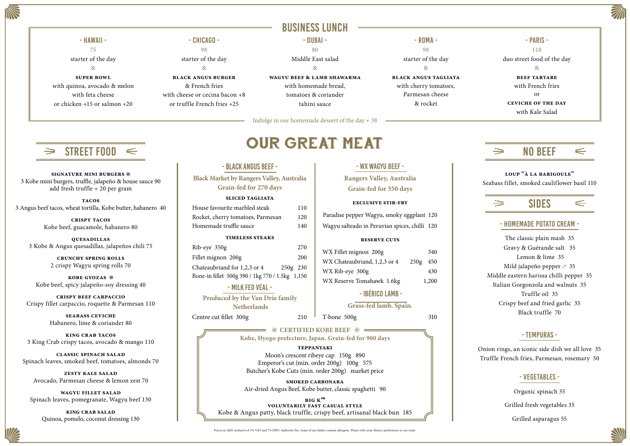#### - Black Angus Beef - **Black Market by Rangers Valley, Australia Grain-fed for 270 days sliced tagliata**  House favourite marbled steak 110 Rocket, cherry tomatoes, Parmesan 120 Homemade truffle sauce 140 **timeless steaks** Rib-eye 350g 270 Fillet mignon 200g 200 Chateaubriand for 1,2,3 or 4 250g 230 Bone-in fillet 500g 390 / 1kg 770 / 1.5kg 1,150 - milk fed veal - **Produced by the Van Drie family** Paradise pepper Wagyu, smoky eggplant 120 Wagyu salteado in Peruvian spices, chilli 120 WX Fillet mignon 200g 340 WX Chateaubriand, 1,2,3 or 4 250g 450 WX Rib-eye 300g 430 WX Reserve Tomahawk 1.6kg 1,200

 **Netherlands**

Centre cut fillet 300g 210

T-bone 500g 310

**EXAMPLE ASSESSED ASSESSED ASSESSED ASSESSED ASSESSED ASSESSED ASSESSED ASSESSED ASSESSED ASSESSED ASSESS Kobe, Hyogo prefecture, Japan. Grain-fed for 900 days**

- wx wagyu beef -

**Rangers Valley, Australia** 

**Grain-fed for 350 days**

**exclusive stir-fry**

**reserve cuts**

- Ibérico lamb -

**Grass-fed lamb. Spain.**

### BUSINESS LUNCH

#### **teppanyaki**

Moon's crescent ribeye cap 150g 890 Emperor's cut (min. order 200g) 100g 575 Butcher's Kobe Cuts (min. order 200g) market price

**smoked carbonara** Air-dried Angus Beef, Kobe butter, classic spaghetti 90

**big k™ voluntarily fast casual style** Kobe & Angus patty, black truffle, crispy beef, artisanal black bun 185

Prices in AED, inclusive of 5% VAT and 7% DIFC Authority Fee. Some of our dishes contain allergens. Please refer your dietary preferences to our team.



## NO BEEF

### SIDES

 $\Leftarrow$ 

**loup "à la barigoule"** Seabass fillet, smoked cauliflower basil 110

#### - homemade potato cream -

The classic plain mash 35 Gravy & Guérande salt 35 Lemon & lime 35 Mild jalapeño pepper  $\geq 35$ Middle eastern harissa chilli pepper 35 Italian Gorgonzola and walnuts 35 Truffle oil 35 Crispy beef and fried garlic 35 Black truffle 70

#### - tempuras -

Onion rings, an iconic side dish we all love 35 Truffle French fries, Parmesan, rosemary 50

- vegetables -

Organic spinach 35 Grilled fresh vegetables 35 Grilled asparagus 55



A (

Indulge in our homemade dessert of the day + 38

## $SIREET F00D \leq$



#### - Hawaii - 75 starter of the day  $\mathcal{R}_{\mathcal{T}}$ **super bowl**  with quinoa, avocado & melon with feta cheese or chicken +15 or salmon +20

#### - Chicago - 98 starter of the day & **black angus burger** & French fries with cheese or cecina bacon +8

or truffle French fries +25

- Dubai - 80

Middle East salad &

**wagyu beef & lamb shawarma** with homemade bread,

tomatoes & coriander tahini sauce

- Roma - 98 starter of the day & **black angus tagliata** with cherry tomatoes, Parmesan cheese & rocket

- Paris - 118 duo street food of the day  $\mathcal{R}_{\mathcal{T}}$ **beef tartare** with French fries or **ceviche of the day** with Kale Salad



 $\Rightarrow$ 

**signature mini burgers**  3 Kobe mini burgers, truffle, jalapeño & house sauce 90 add fresh truffle + 20 per gram

**tacos** 3 Angus beef tacos, wheat tortilla, Kobe butter, habanero 40

> **crispy tacos** Kobe beef, guacamole, habanero 80

**quesadillas** 3 Kobe & Angus quesadillas, jalapeños chili 75

> **crunchy spring rolls** 2 crispy Wagyu spring rolls 70

**kobe gyozas**  Kobe beef, spicy jalapeño-soy dressing 40

**crispy beef carpaccio** Crispy fillet carpaccio, roquette & Parmesan 110

> **seabass ceviche** Habanero, lime & coriander 80

**king crab tacos** 3 King Crab crispy tacos, avocado & mango 110

**classic spinach salad** Spinach leaves, smoked beef, tomatoes, almonds 70

**zesty kale salad** Avocado, Parmesan cheese & lemon zest 70

**wagyu fillet salad** Spinach leaves, pomegranate, Wagyu beef 130

**king crab salad** Quinoa, pomelo, coconut dressing 130